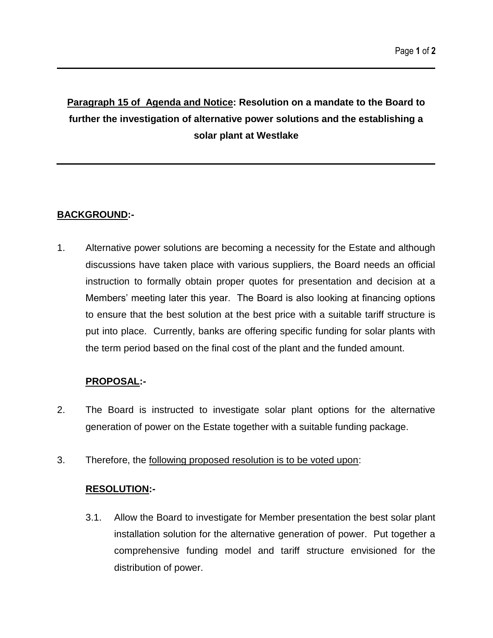# **Paragraph 15 of Agenda and Notice: Resolution on a mandate to the Board to further the investigation of alternative power solutions and the establishing a solar plant at Westlake**

## **BACKGROUND:-**

1. Alternative power solutions are becoming a necessity for the Estate and although discussions have taken place with various suppliers, the Board needs an official instruction to formally obtain proper quotes for presentation and decision at a Members' meeting later this year. The Board is also looking at financing options to ensure that the best solution at the best price with a suitable tariff structure is put into place. Currently, banks are offering specific funding for solar plants with the term period based on the final cost of the plant and the funded amount.

## **PROPOSAL:-**

- 2. The Board is instructed to investigate solar plant options for the alternative generation of power on the Estate together with a suitable funding package.
- 3. Therefore, the following proposed resolution is to be voted upon:

#### **RESOLUTION:-**

3.1. Allow the Board to investigate for Member presentation the best solar plant installation solution for the alternative generation of power. Put together a comprehensive funding model and tariff structure envisioned for the distribution of power.